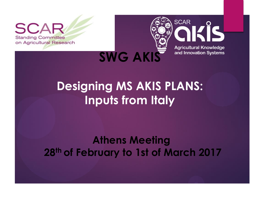S **Standing Committee** on Agricultural Research



# **Designing MS AKIS PLANS: Inputs from Italy**

#### **Athens Meeting 28th of February to 1st of March 2017**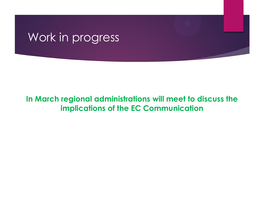## Work in progress

#### **In March regional administrations will meet to discuss the implications of the EC Communication**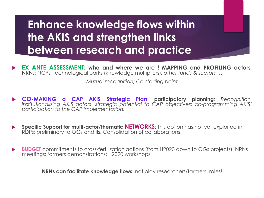## **Enhance knowledge flows within the AKIS and strengthen links between research and practice**

 **EX ANTE ASSESSMENT: who and where we are ! MAPPING and PROFILING actors***:* NRNs; NCPs; technological parks (knowledge multipliers)*: other funds & sectors …*

*Mutual recognition; Co-starting point* 

- **CO-MAKING a CAP AKIS Strategic Plan**: **participatory planning**: *Recognition, institutionalizing AKIS actors' strategic potential to CAP objectives: co-programming AKIS' participation to the CAP implementation.*
- **Specific Support for multi-actor/thematic <b>NETWORKS**: this option has not yet exploited in RDPs; preliminary to OGs and IIs. Consolidation of collaborations.
- **► BUDGET** commitments to cross-fertilization actions (from H2020 down to OGs projects): NRNs meetings; farmers demonstrations; H2020 workshops.

**NRNs can facilitate knowledge flows**: not play researchers/farmers' roles!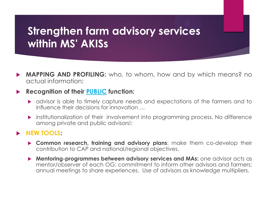## **Strengthen farm advisory services within MS' AKISs**

 **MAPPING AND PROFILING:** who, to whom, how and by which means? no actual information;

#### **Recognition of their PUBLIC function:**

- advisor is able to timely capture needs and expectations of the farmers and to influence their decisions for innovation …
- **Institutionalization of their involvement into programming process. No difference** among private and public advisors!:

#### **NEW TOOLS:**

- **Common research, training and advisory plans**: make them co-develop their contribution to CAP and national/regional objectives.
- **Mentoring-programmes between advisory services and MAs:** one advisor acts as mentor/observer of each OG; commitment to inform other advisors and farmers; annual meetings to share experiences. Use of advisors as knowledge multipliers.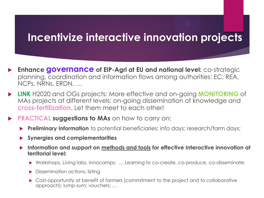#### **Incentivize interactive innovation projects**

- **Enhance governance of EIP-Agri at EU and national level:** co-strategic planning, coordination and information flows among authorities: EC; REA, NCPs, NRNs, ERDN, …
- **LINK** H2020 and OGs projects: More effective and on-going **MONITORING** of MAs projects at different levels: on-going dissemination of knowledge and **cross-fertilization**. Let them meet to each other!
- **PRACTICAL suggestions to MAs** on how to carry on:
	- **Preliminary Information** to potential beneficiaries: info days; research/farm days;
	- **Synergies and complementarities**
	- **Information and support on methods and tools for effective Interactive innovation at territorial level:** 
		- Workshops, Living labs, Innocamps; … Learning to co-create, co-produce, co-disseminate;
		- **Dissemination actions: listing**
		- ▶ Cost-opportunity at benefit of farmers (commitment to the project and to collaborative approach): lump-sum; vouchers; …